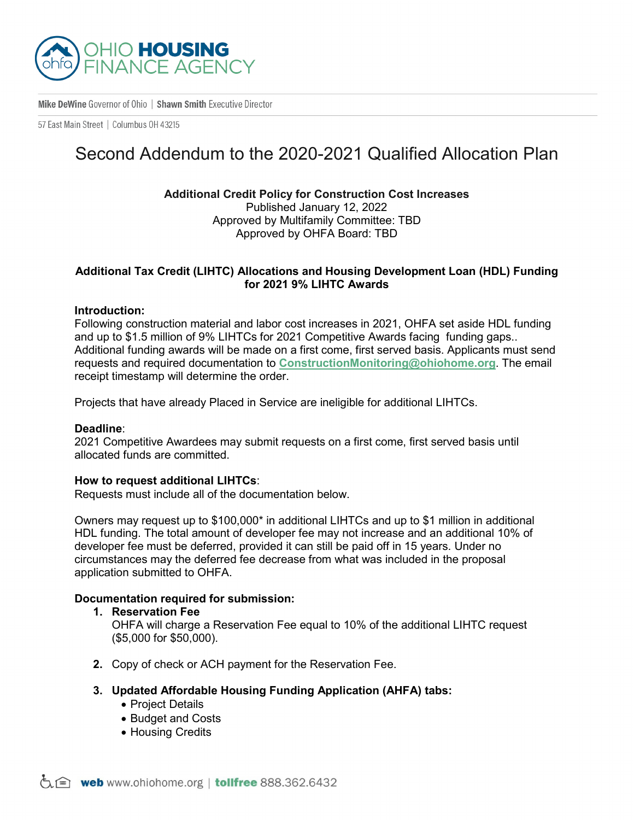

Mike DeWine Governor of Ohio | Shawn Smith Executive Director

57 East Main Street | Columbus 0H 43215

# Second Addendum to the 2020-2021 Qualified Allocation Plan

**Additional Credit Policy for Construction Cost Increases** Published January 12, 2022 Approved by Multifamily Committee: TBD Approved by OHFA Board: TBD

# **Additional Tax Credit (LIHTC) Allocations and Housing Development Loan (HDL) Funding for 2021 9% LIHTC Awards**

#### **Introduction:**

Following construction material and labor cost increases in 2021, OHFA set aside HDL funding and up to \$1.5 million of 9% LIHTCs for 2021 Competitive Awards facing funding gaps.. Additional funding awards will be made on a first come, first served basis. Applicants must send requests and required documentation to **[ConstructionMonitoring@ohiohome.org](mailto:ConstructionMonitoring@ohiohome.org)**. The email receipt timestamp will determine the order.

Projects that have already Placed in Service are ineligible for additional LIHTCs.

#### **Deadline**:

2021 Competitive Awardees may submit requests on a first come, first served basis until allocated funds are committed.

### **How to request additional LIHTCs**:

Requests must include all of the documentation below.

Owners may request up to \$100,000\* in additional LIHTCs and up to \$1 million in additional HDL funding. The total amount of developer fee may not increase and an additional 10% of developer fee must be deferred, provided it can still be paid off in 15 years. Under no circumstances may the deferred fee decrease from what was included in the proposal application submitted to OHFA.

## **Documentation required for submission:**

**1. Reservation Fee**

OHFA will charge a Reservation Fee equal to 10% of the additional LIHTC request (\$5,000 for \$50,000).

- **2.** Copy of check or ACH payment for the Reservation Fee.
- **3. Updated Affordable Housing Funding Application (AHFA) tabs:**
	- Project Details
	- Budget and Costs
	- Housing Credits